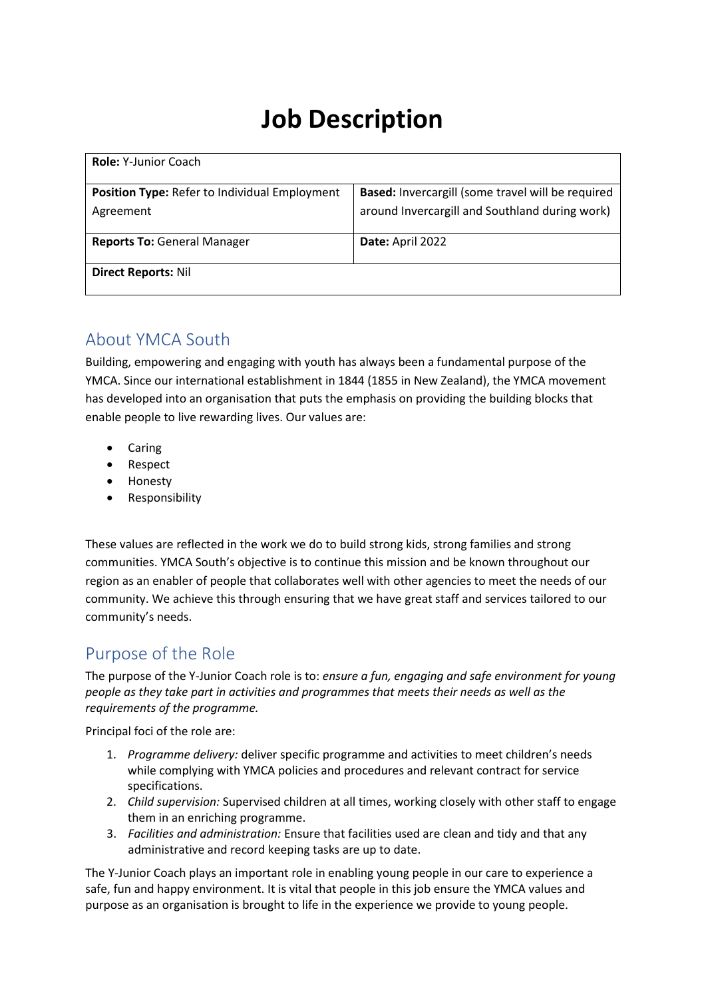# **Job Description**

| <b>Role: Y-Junior Coach</b>                   |                                                          |  |
|-----------------------------------------------|----------------------------------------------------------|--|
| Position Type: Refer to Individual Employment | <b>Based:</b> Invercargill (some travel will be required |  |
| Agreement                                     | around Invercargill and Southland during work)           |  |
| <b>Reports To: General Manager</b>            | Date: April 2022                                         |  |
| <b>Direct Reports: Nil</b>                    |                                                          |  |

### About YMCA South

Building, empowering and engaging with youth has always been a fundamental purpose of the YMCA. Since our international establishment in 1844 (1855 in New Zealand), the YMCA movement has developed into an organisation that puts the emphasis on providing the building blocks that enable people to live rewarding lives. Our values are:

- Caring
- Respect
- Honesty
- Responsibility

These values are reflected in the work we do to build strong kids, strong families and strong communities. YMCA South's objective is to continue this mission and be known throughout our region as an enabler of people that collaborates well with other agencies to meet the needs of our community. We achieve this through ensuring that we have great staff and services tailored to our community's needs.

#### Purpose of the Role

The purpose of the Y-Junior Coach role is to: *ensure a fun, engaging and safe environment for young people as they take part in activities and programmes that meets their needs as well as the requirements of the programme.*

Principal foci of the role are:

- 1. *Programme delivery:* deliver specific programme and activities to meet children's needs while complying with YMCA policies and procedures and relevant contract for service specifications.
- 2. *Child supervision:* Supervised children at all times, working closely with other staff to engage them in an enriching programme.
- 3. *Facilities and administration:* Ensure that facilities used are clean and tidy and that any administrative and record keeping tasks are up to date.

The Y-Junior Coach plays an important role in enabling young people in our care to experience a safe, fun and happy environment. It is vital that people in this job ensure the YMCA values and purpose as an organisation is brought to life in the experience we provide to young people.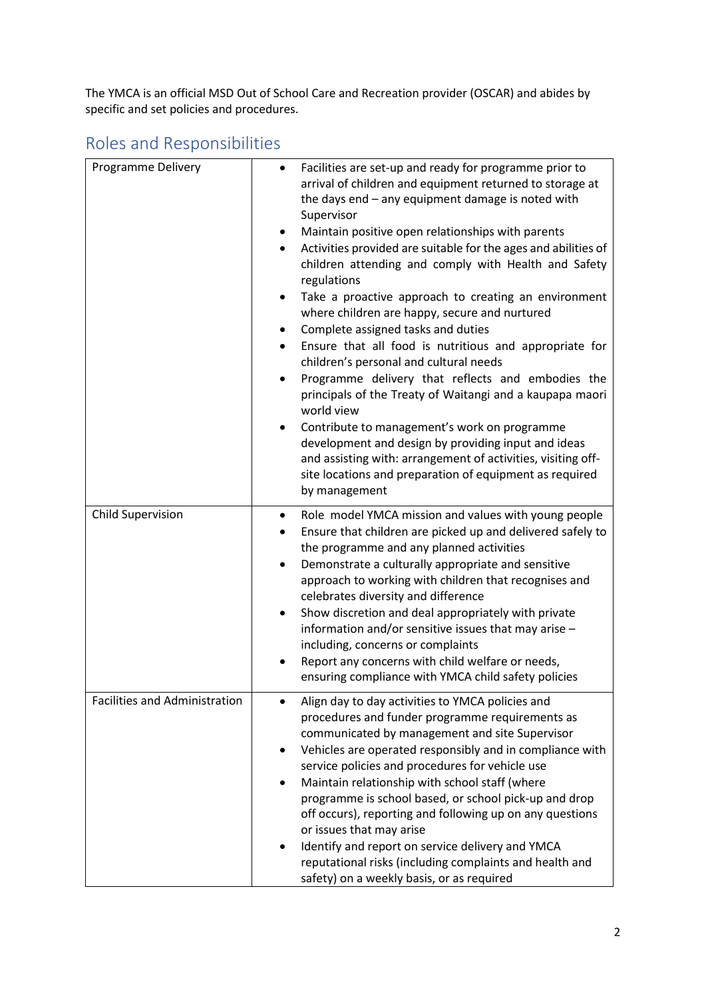The YMCA is an official MSD Out of School Care and Recreation provider (OSCAR) and abides by specific and set policies and procedures.

| <b>Programme Delivery</b>            | Facilities are set-up and ready for programme prior to<br>$\bullet$<br>arrival of children and equipment returned to storage at<br>the days end - any equipment damage is noted with<br>Supervisor<br>Maintain positive open relationships with parents<br>$\bullet$<br>Activities provided are suitable for the ages and abilities of<br>$\bullet$<br>children attending and comply with Health and Safety<br>regulations<br>Take a proactive approach to creating an environment<br>$\bullet$<br>where children are happy, secure and nurtured<br>Complete assigned tasks and duties<br>$\bullet$<br>Ensure that all food is nutritious and appropriate for<br>$\bullet$<br>children's personal and cultural needs<br>Programme delivery that reflects and embodies the<br>$\bullet$<br>principals of the Treaty of Waitangi and a kaupapa maori<br>world view<br>Contribute to management's work on programme<br>٠<br>development and design by providing input and ideas<br>and assisting with: arrangement of activities, visiting off-<br>site locations and preparation of equipment as required<br>by management |
|--------------------------------------|--------------------------------------------------------------------------------------------------------------------------------------------------------------------------------------------------------------------------------------------------------------------------------------------------------------------------------------------------------------------------------------------------------------------------------------------------------------------------------------------------------------------------------------------------------------------------------------------------------------------------------------------------------------------------------------------------------------------------------------------------------------------------------------------------------------------------------------------------------------------------------------------------------------------------------------------------------------------------------------------------------------------------------------------------------------------------------------------------------------------------|
| <b>Child Supervision</b>             | Role model YMCA mission and values with young people<br>$\bullet$<br>Ensure that children are picked up and delivered safely to<br>the programme and any planned activities<br>Demonstrate a culturally appropriate and sensitive<br>$\bullet$<br>approach to working with children that recognises and<br>celebrates diversity and difference<br>Show discretion and deal appropriately with private<br>information and/or sensitive issues that may arise -<br>including, concerns or complaints<br>Report any concerns with child welfare or needs,<br>ensuring compliance with YMCA child safety policies                                                                                                                                                                                                                                                                                                                                                                                                                                                                                                            |
| <b>Facilities and Administration</b> | Align day to day activities to YMCA policies and<br>procedures and funder programme requirements as<br>communicated by management and site Supervisor<br>Vehicles are operated responsibly and in compliance with<br>$\bullet$<br>service policies and procedures for vehicle use<br>Maintain relationship with school staff (where<br>programme is school based, or school pick-up and drop<br>off occurs), reporting and following up on any questions<br>or issues that may arise<br>Identify and report on service delivery and YMCA<br>reputational risks (including complaints and health and<br>safety) on a weekly basis, or as required                                                                                                                                                                                                                                                                                                                                                                                                                                                                         |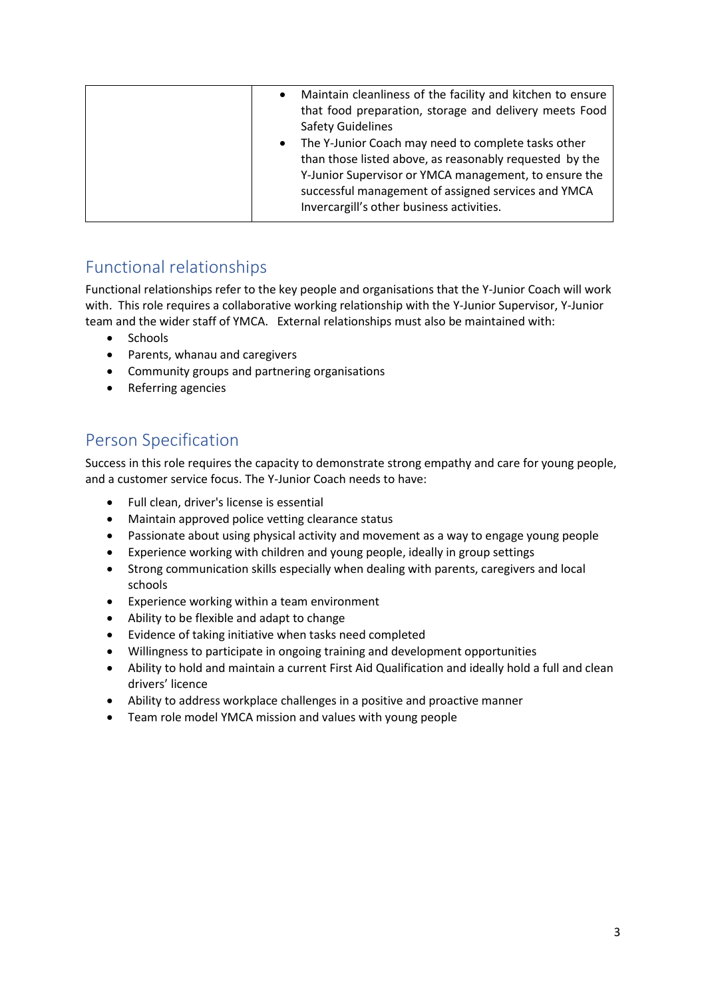| Maintain cleanliness of the facility and kitchen to ensure<br>$\bullet$ |
|-------------------------------------------------------------------------|
| that food preparation, storage and delivery meets Food                  |
| <b>Safety Guidelines</b>                                                |
| The Y-Junior Coach may need to complete tasks other<br>$\bullet$        |
| than those listed above, as reasonably requested by the                 |
| Y-Junior Supervisor or YMCA management, to ensure the                   |
| successful management of assigned services and YMCA                     |
| Invercargill's other business activities.                               |
|                                                                         |

# Functional relationships

Functional relationships refer to the key people and organisations that the Y-Junior Coach will work with. This role requires a collaborative working relationship with the Y-Junior Supervisor, Y-Junior team and the wider staff of YMCA. External relationships must also be maintained with:

- Schools
- Parents, whanau and caregivers
- Community groups and partnering organisations
- Referring agencies

### Person Specification

Success in this role requires the capacity to demonstrate strong empathy and care for young people, and a customer service focus. The Y-Junior Coach needs to have:

- Full clean, driver's license is essential
- Maintain approved police vetting clearance status
- Passionate about using physical activity and movement as a way to engage young people
- Experience working with children and young people, ideally in group settings
- Strong communication skills especially when dealing with parents, caregivers and local schools
- Experience working within a team environment
- Ability to be flexible and adapt to change
- Evidence of taking initiative when tasks need completed
- Willingness to participate in ongoing training and development opportunities
- Ability to hold and maintain a current First Aid Qualification and ideally hold a full and clean drivers' licence
- Ability to address workplace challenges in a positive and proactive manner
- Team role model YMCA mission and values with young people